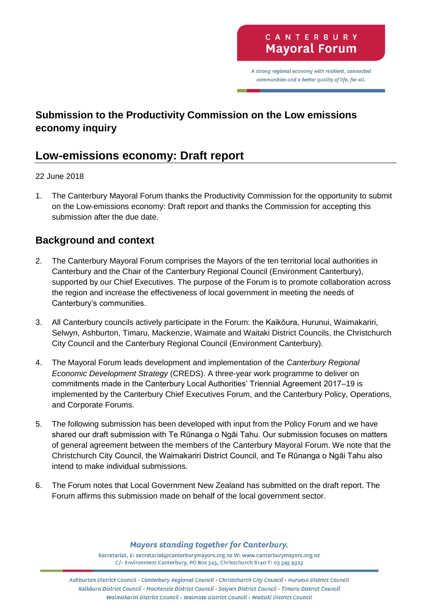A strong regional economy with resilient, connected communities and a better quality of life, for all.

# **Submission to the Productivity Commission on the Low emissions economy inquiry**

# **Low-emissions economy: Draft report**

#### 22 June 2018

1. The Canterbury Mayoral Forum thanks the Productivity Commission for the opportunity to submit on the Low-emissions economy: Draft report and thanks the Commission for accepting this submission after the due date.

## **Background and context**

- 2. The Canterbury Mayoral Forum comprises the Mayors of the ten territorial local authorities in Canterbury and the Chair of the Canterbury Regional Council (Environment Canterbury), supported by our Chief Executives. The purpose of the Forum is to promote collaboration across the region and increase the effectiveness of local government in meeting the needs of Canterbury's communities.
- 3. All Canterbury councils actively participate in the Forum: the Kaikōura, Hurunui, Waimakariri, Selwyn, Ashburton, Timaru, Mackenzie, Waimate and Waitaki District Councils, the Christchurch City Council and the Canterbury Regional Council (Environment Canterbury).
- 4. The Mayoral Forum leads development and implementation of the *Canterbury Regional Economic Development Strategy* (CREDS). A three-year work programme to deliver on commitments made in the Canterbury Local Authorities' Triennial Agreement 2017–19 is implemented by the Canterbury Chief Executives Forum, and the Canterbury Policy, Operations, and Corporate Forums.
- 5. The following submission has been developed with input from the Policy Forum and we have shared our draft submission with Te Rūnanga o Ngāi Tahu. Our submission focuses on matters of general agreement between the members of the Canterbury Mayoral Forum. We note that the Christchurch City Council, the Waimakariri District Council, and Te Rūnanga o Ngāi Tahu also intend to make individual submissions.
- 6. The Forum notes that Local Government New Zealand has submitted on the draft report. The Forum affirms this submission made on behalf of the local government sector.

**Mayors standing together for Canterbury.** 

Secretariat, E: secretariat@canterburymayors.org.nz W: www.canterburymayors.org.nz C/- Environment Canterbury, PO Box 345, Christchurch 8140 T: 03 345 9323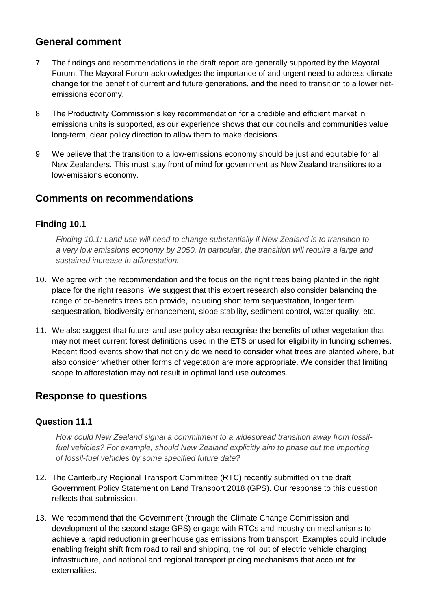### **General comment**

- 7. The findings and recommendations in the draft report are generally supported by the Mayoral Forum. The Mayoral Forum acknowledges the importance of and urgent need to address climate change for the benefit of current and future generations, and the need to transition to a lower netemissions economy.
- 8. The Productivity Commission's key recommendation for a credible and efficient market in emissions units is supported, as our experience shows that our councils and communities value long-term, clear policy direction to allow them to make decisions.
- 9. We believe that the transition to a low-emissions economy should be just and equitable for all New Zealanders. This must stay front of mind for government as New Zealand transitions to a low-emissions economy.

### **Comments on recommendations**

#### **Finding 10.1**

*Finding 10.1: Land use will need to change substantially if New Zealand is to transition to a very low emissions economy by 2050. In particular, the transition will require a large and sustained increase in afforestation.* 

- 10. We agree with the recommendation and the focus on the right trees being planted in the right place for the right reasons. We suggest that this expert research also consider balancing the range of co-benefits trees can provide, including short term sequestration, longer term sequestration, biodiversity enhancement, slope stability, sediment control, water quality, etc.
- 11. We also suggest that future land use policy also recognise the benefits of other vegetation that may not meet current forest definitions used in the ETS or used for eligibility in funding schemes. Recent flood events show that not only do we need to consider what trees are planted where, but also consider whether other forms of vegetation are more appropriate. We consider that limiting scope to afforestation may not result in optimal land use outcomes.

## **Response to questions**

#### **Question 11.1**

*How could New Zealand signal a commitment to a widespread transition away from fossilfuel vehicles? For example, should New Zealand explicitly aim to phase out the importing of fossil-fuel vehicles by some specified future date?* 

- 12. The Canterbury Regional Transport Committee (RTC) recently submitted on the draft Government Policy Statement on Land Transport 2018 (GPS). Our response to this question reflects that submission.
- 13. We recommend that the Government (through the Climate Change Commission and development of the second stage GPS) engage with RTCs and industry on mechanisms to achieve a rapid reduction in greenhouse gas emissions from transport. Examples could include enabling freight shift from road to rail and shipping, the roll out of electric vehicle charging infrastructure, and national and regional transport pricing mechanisms that account for externalities.